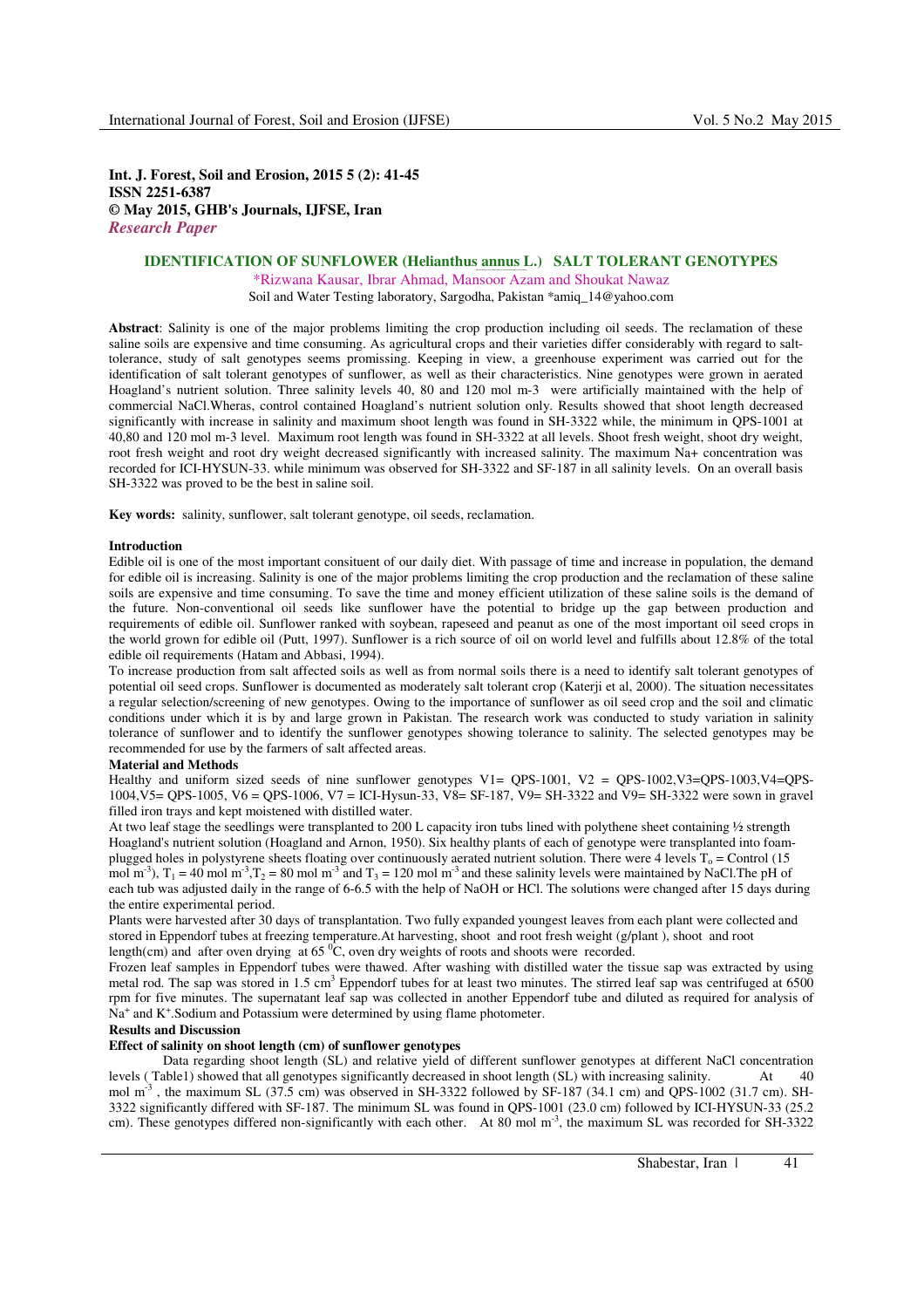**Int. J. Forest, Soil and Erosion, 2015 5 (2): 41-45 ISSN 2251-6387 © May 2015, GHB's Journals, IJFSE, Iran**  *Research Paper* 

# **IDENTIFICATION OF SUNFLOWER (Helianthus annus L.) SALT TOLERANT GENOTYPES**

**Rizwana Kausar, Ibrar Ahmad, Mansoor A zam and Shoukat Nawaz (Pakistan)**  \*Rizwana Kausar, Ibrar Ahmad, Mansoor Azam and Shoukat Nawaz

Soil and Water Testing laboratory, Sargodha, Pakistan \*amiq\_14@yahoo.com

**Abstract**: Salinity is one of the major problems limiting the crop production including oil seeds. The reclamation of these saline soils are expensive and time consuming. As agricultural crops and their varieties differ considerably with regard to salttolerance, study of salt genotypes seems promissing. Keeping in view, a greenhouse experiment was carried out for the identification of salt tolerant genotypes of sunflower, as well as their characteristics. Nine genotypes were grown in aerated Hoagland's nutrient solution. Three salinity levels 40, 80 and 120 mol m-3 were artificially maintained with the help of commercial NaCl.Wheras, control contained Hoagland's nutrient solution only. Results showed that shoot length decreased significantly with increase in salinity and maximum shoot length was found in SH-3322 while, the minimum in QPS-1001 at 40,80 and 120 mol m-3 level. Maximum root length was found in SH-3322 at all levels. Shoot fresh weight, shoot dry weight, root fresh weight and root dry weight decreased significantly with increased salinity. The maximum Na+ concentration was recorded for ICI-HYSUN-33. while minimum was observed for SH-3322 and SF-187 in all salinity levels. On an overall basis SH-3322 was proved to be the best in saline soil.

**Key words:** salinity, sunflower, salt tolerant genotype, oil seeds, reclamation.

#### **Introduction**

Edible oil is one of the most important consituent of our daily diet. With passage of time and increase in population, the demand for edible oil is increasing. Salinity is one of the major problems limiting the crop production and the reclamation of these saline soils are expensive and time consuming. To save the time and money efficient utilization of these saline soils is the demand of the future. Non-conventional oil seeds like sunflower have the potential to bridge up the gap between production and requirements of edible oil. Sunflower ranked with soybean, rapeseed and peanut as one of the most important oil seed crops in the world grown for edible oil (Putt, 1997). Sunflower is a rich source of oil on world level and fulfills about 12.8% of the total edible oil requirements (Hatam and Abbasi, 1994).

To increase production from salt affected soils as well as from normal soils there is a need to identify salt tolerant genotypes of potential oil seed crops. Sunflower is documented as moderately salt tolerant crop (Katerji et al, 2000). The situation necessitates a regular selection/screening of new genotypes. Owing to the importance of sunflower as oil seed crop and the soil and climatic conditions under which it is by and large grown in Pakistan. The research work was conducted to study variation in salinity tolerance of sunflower and to identify the sunflower genotypes showing tolerance to salinity. The selected genotypes may be recommended for use by the farmers of salt affected areas.

## **Material and Methods**

Healthy and uniform sized seeds of nine sunflower genotypes V1= QPS-1001, V2 = QPS-1002,V3=QPS-1003,V4=QPS-1004,V5= QPS-1005, V6 = QPS-1006, V7 = ICI-Hysun-33, V8= SF-187, V9= SH-3322 and V9= SH-3322 were sown in gravel filled iron trays and kept moistened with distilled water.

At two leaf stage the seedlings were transplanted to 200 L capacity iron tubs lined with polythene sheet containing ½ strength Hoagland's nutrient solution (Hoagland and Arnon, 1950). Six healthy plants of each of genotype were transplanted into foamplugged holes in polystyrene sheets floating over continuously aerated nutrient solution. There were 4 levels  $T_0$  = Control (15 mol m<sup>-3</sup>),  $T_1 = 40$  mol m<sup>-3</sup>,  $T_2 = 80$  mol m<sup>-3</sup> and  $T_3 = 120$  mol m<sup>-3</sup> and these salinity levels were maintained by NaCl. The pH of each tub was adjusted daily in the range of 6-6.5 with the help of NaOH or HCl. The solutions were changed after 15 days during the entire experimental period.

Plants were harvested after 30 days of transplantation. Two fully expanded youngest leaves from each plant were collected and stored in Eppendorf tubes at freezing temperature.At harvesting, shoot and root fresh weight (g/plant ), shoot and root length(cm) and after oven drying at  $65\,^{\circ}\text{C}$ , oven dry weights of roots and shoots were recorded.

Frozen leaf samples in Eppendorf tubes were thawed. After washing with distilled water the tissue sap was extracted by using metal rod. The sap was stored in 1.5 cm<sup>3</sup> Eppendorf tubes for at least two minutes. The stirred leaf sap was centrifuged at 6500 rpm for five minutes. The supernatant leaf sap was collected in another Eppendorf tube and diluted as required for analysis of Na<sup>+</sup> and K<sup>+</sup>.Sodium and Potassium were determined by using flame photometer.

#### **Results and Discussion**

# **Effect of salinity on shoot length (cm) of sunflower genotypes**

 Data regarding shoot length (SL) and relative yield of different sunflower genotypes at different NaCl concentration levels ( Table1) showed that all genotypes significantly decreased in shoot length (SL) with increasing salinity. At 40 mol m<sup>-3</sup>, the maximum SL (37.5 cm) was observed in SH-3322 followed by SF-187 (34.1 cm) and QPS-1002 (31.7 cm). SH-3322 significantly differed with SF-187. The minimum SL was found in QPS-1001 (23.0 cm) followed by ICI-HYSUN-33 (25.2 cm). These genotypes differed non-significantly with each other. At 80 mol  $m<sup>3</sup>$ , the maximum SL was recorded for SH-3322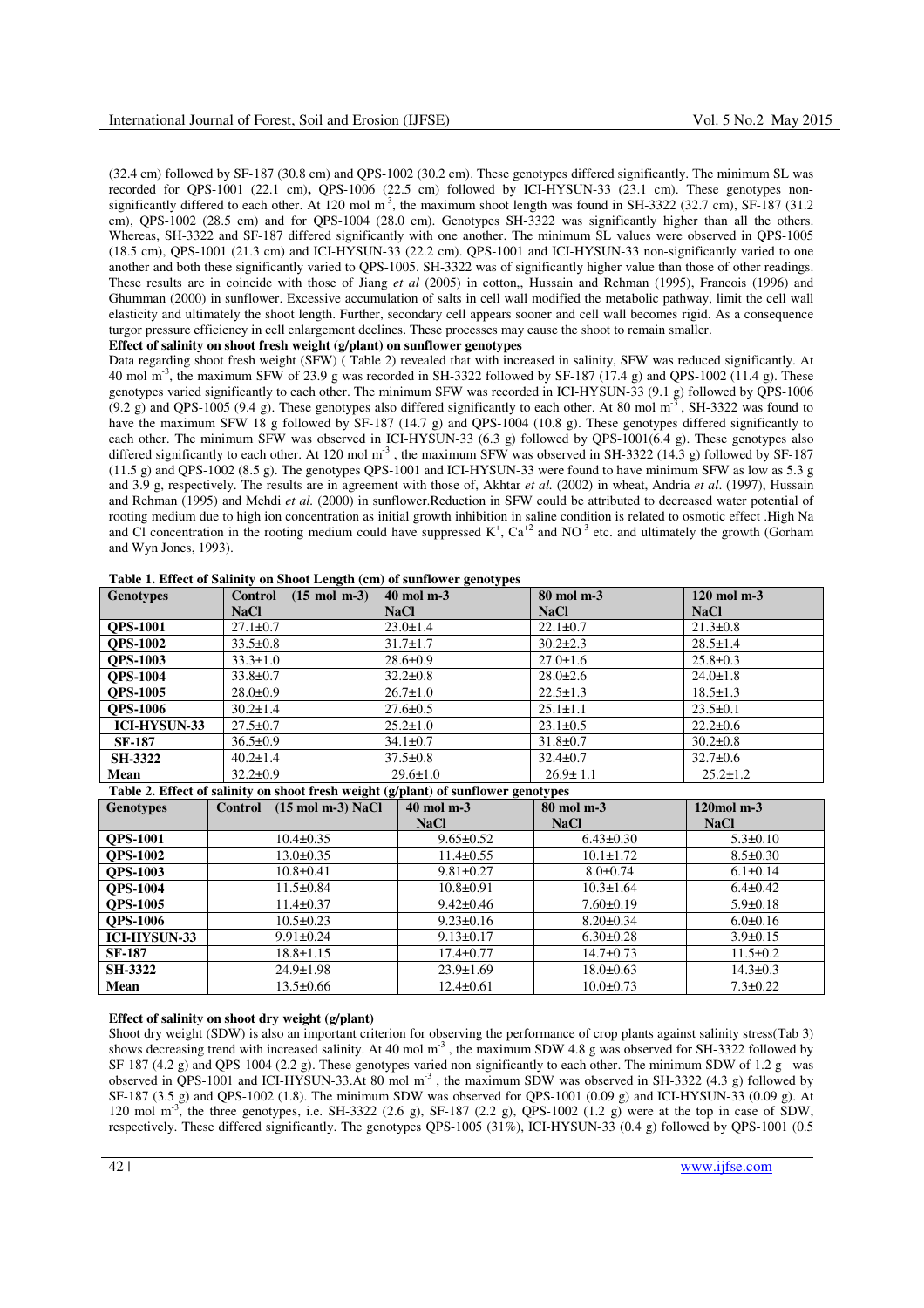(32.4 cm) followed by SF-187 (30.8 cm) and QPS-1002 (30.2 cm). These genotypes differed significantly. The minimum SL was recorded for QPS-1001 (22.1 cm)**,** QPS-1006 (22.5 cm) followed by ICI-HYSUN-33 (23.1 cm). These genotypes nonsignificantly differed to each other. At 120 mol m<sup>-3</sup>, the maximum shoot length was found in SH-3322 (32.7 cm), SF-187 (31.2 cm), QPS-1002 (28.5 cm) and for QPS-1004 (28.0 cm). Genotypes SH-3322 was significantly higher than all the others. Whereas, SH-3322 and SF-187 differed significantly with one another. The minimum SL values were observed in QPS-1005 (18.5 cm), QPS-1001 (21.3 cm) and ICI-HYSUN-33 (22.2 cm). QPS-1001 and ICI-HYSUN-33 non-significantly varied to one another and both these significantly varied to QPS-1005. SH-3322 was of significantly higher value than those of other readings. These results are in coincide with those of Jiang *et al* (2005) in cotton,, Hussain and Rehman (1995), Francois (1996) and Ghumman (2000) in sunflower. Excessive accumulation of salts in cell wall modified the metabolic pathway, limit the cell wall elasticity and ultimately the shoot length. Further, secondary cell appears sooner and cell wall becomes rigid. As a consequence turgor pressure efficiency in cell enlargement declines. These processes may cause the shoot to remain smaller.

## **Effect of salinity on shoot fresh weight (g/plant) on sunflower genotypes**

Data regarding shoot fresh weight (SFW) ( Table 2) revealed that with increased in salinity, SFW was reduced significantly. At 40 mol m<sup>-3</sup>, the maximum SFW of 23.9 g was recorded in SH-3322 followed by SF-187 (17.4 g) and QPS-1002 (11.4 g). These genotypes varied significantly to each other. The minimum SFW was recorded in ICI-HYSUN-33 (9.1 g) followed by QPS-1006  $(9.2 \text{ g})$  and QPS-1005 (9.4 g). These genotypes also differed significantly to each other. At 80 mol m<sup>-3</sup>, SH-3322 was found to have the maximum SFW 18 g followed by SF-187 (14.7 g) and QPS-1004 (10.8 g). These genotypes differed significantly to each other. The minimum SFW was observed in ICI-HYSUN-33 (6.3 g) followed by QPS-1001(6.4 g). These genotypes also differed significantly to each other. At 120 mol  $m<sup>3</sup>$ , the maximum SFW was observed in SH-3322 (14.3 g) followed by SF-187 (11.5 g) and QPS-1002 (8.5 g). The genotypes QPS-1001 and ICI-HYSUN-33 were found to have minimum SFW as low as 5.3 g and 3.9 g, respectively. The results are in agreement with those of, Akhtar *et al.* (2002) in wheat, Andria *et al*. (1997), Hussain and Rehman (1995) and Mehdi *et al.* (2000) in sunflower.Reduction in SFW could be attributed to decreased water potential of rooting medium due to high ion concentration as initial growth inhibition in saline condition is related to osmotic effect .High Na and CI concentration in the rooting medium could have suppressed  $K^+$ ,  $Ca^{+2}$  and NO<sup>-3</sup> etc. and ultimately the growth (Gorham and Wyn Jones, 1993).

| <b>Genotypes</b>    | $(15 \text{ mol } m-3)$<br>Control | $40 \text{ mol } m-3$ | 80 mol m-3     | $120 \text{ mol } m-3$ |
|---------------------|------------------------------------|-----------------------|----------------|------------------------|
|                     | <b>NaCl</b>                        | <b>NaCl</b>           | <b>NaCl</b>    | <b>NaCl</b>            |
| <b>OPS-1001</b>     | $27.1 \pm 0.7$                     | $23.0 \pm 1.4$        | $22.1 \pm 0.7$ | $21.3 \pm 0.8$         |
| <b>OPS-1002</b>     | $33.5 \pm 0.8$                     | $31.7 \pm 1.7$        | $30.2 \pm 2.3$ | $28.5 \pm 1.4$         |
| <b>OPS-1003</b>     | $33.3 \pm 1.0$                     | $28.6 \pm 0.9$        | $27.0 \pm 1.6$ | $25.8 \pm 0.3$         |
| <b>OPS-1004</b>     | $33.8 \pm 0.7$                     | $32.2 \pm 0.8$        | $28.0 \pm 2.6$ | $24.0 \pm 1.8$         |
| <b>OPS-1005</b>     | $28.0 \pm 0.9$                     | $26.7 \pm 1.0$        | $22.5 \pm 1.3$ | $18.5 \pm 1.3$         |
| <b>OPS-1006</b>     | $30.2 \pm 1.4$                     | $27.6 \pm 0.5$        | $25.1 \pm 1.1$ | $23.5 \pm 0.1$         |
| <b>ICI-HYSUN-33</b> | $27.5 \pm 0.7$                     | $25.2 \pm 1.0$        | $23.1 \pm 0.5$ | $22.2 \pm 0.6$         |
| <b>SF-187</b>       | $36.5 \pm 0.9$                     | $34.1 \pm 0.7$        | $31.8 \pm 0.7$ | $30.2 \pm 0.8$         |
| <b>SH-3322</b>      | $40.2 \pm 1.4$                     | $37.5 \pm 0.8$        | $32.4 \pm 0.7$ | $32.7 \pm 0.6$         |
| Mean                | $32.2 \pm 0.9$                     | $29.6 \pm 1.0$        | $26.9 \pm 1.1$ | $25.2 \pm 1.2$         |

**Table 1. Effect of Salinity on Shoot Length (cm) of sunflower genotypes** 

## **Table 2. Effect of salinity on shoot fresh weight (g/plant) of sunflower genotypes**

| <b>Genotypes</b>    | $(15 \text{ mol m-3})$ NaCl<br>Control | 40 mol m-3      | 80 mol m-3      |                |
|---------------------|----------------------------------------|-----------------|-----------------|----------------|
|                     |                                        | <b>NaCl</b>     | <b>NaCl</b>     | <b>NaCl</b>    |
| <b>OPS-1001</b>     | $10.4 \pm 0.35$                        | $9.65 \pm 0.52$ | $6.43 \pm 0.30$ | $5.3 \pm 0.10$ |
| <b>OPS-1002</b>     | $13.0 \pm 0.35$                        | $11.4 \pm 0.55$ | $10.1 \pm 1.72$ | $8.5 \pm 0.30$ |
| <b>OPS-1003</b>     | $10.8 \pm 0.41$                        | $9.81 \pm 0.27$ | $8.0 \pm 0.74$  | $6.1 \pm 0.14$ |
| <b>OPS-1004</b>     | $11.5 \pm 0.84$                        | $10.8 \pm 0.91$ | $10.3 \pm 1.64$ | $6.4 \pm 0.42$ |
| <b>OPS-1005</b>     | $11.4 \pm 0.37$                        | $9.42 \pm 0.46$ | $7.60 \pm 0.19$ | $5.9 \pm 0.18$ |
| <b>OPS-1006</b>     | $10.5 \pm 0.23$                        | $9.23 \pm 0.16$ | $8.20 \pm 0.34$ | $6.0 \pm 0.16$ |
| <b>ICI-HYSUN-33</b> | $9.91 \pm 0.24$                        | $9.13 \pm 0.17$ | $6.30 \pm 0.28$ | $3.9 \pm 0.15$ |
| <b>SF-187</b>       | $18.8 \pm 1.15$                        | $17.4 \pm 0.77$ | $14.7 \pm 0.73$ | $11.5 \pm 0.2$ |
| <b>SH-3322</b>      | $24.9 \pm 1.98$                        | $23.9 \pm 1.69$ | $18.0 \pm 0.63$ | $14.3 \pm 0.3$ |
| Mean                | $13.5 \pm 0.66$                        | $12.4 \pm 0.61$ | $10.0 \pm 0.73$ | $7.3 \pm 0.22$ |

#### **Effect of salinity on shoot dry weight (g/plant)**

Shoot dry weight (SDW) is also an important criterion for observing the performance of crop plants against salinity stress(Tab 3) shows decreasing trend with increased salinity. At 40 mol  $m<sup>3</sup>$ , the maximum SDW 4.8 g was observed for SH-3322 followed by SF-187 (4.2 g) and QPS-1004 (2.2 g). These genotypes varied non-significantly to each other. The minimum SDW of 1.2 g was observed in QPS-1001 and ICI-HYSUN-33.At 80 mol m-3 , the maximum SDW was observed in SH-3322 (4.3 g) followed by SF-187 (3.5 g) and QPS-1002 (1.8). The minimum SDW was observed for QPS-1001 (0.09 g) and ICI-HYSUN-33 (0.09 g). At 120 mol m<sup>-3</sup>, the three genotypes, i.e. SH-3322 (2.6 g), SF-187 (2.2 g), QPS-1002 (1.2 g) were at the top in case of SDW, respectively. These differed significantly. The genotypes QPS-1005 (31%), ICI-HYSUN-33 (0.4 g) followed by QPS-1001 (0.5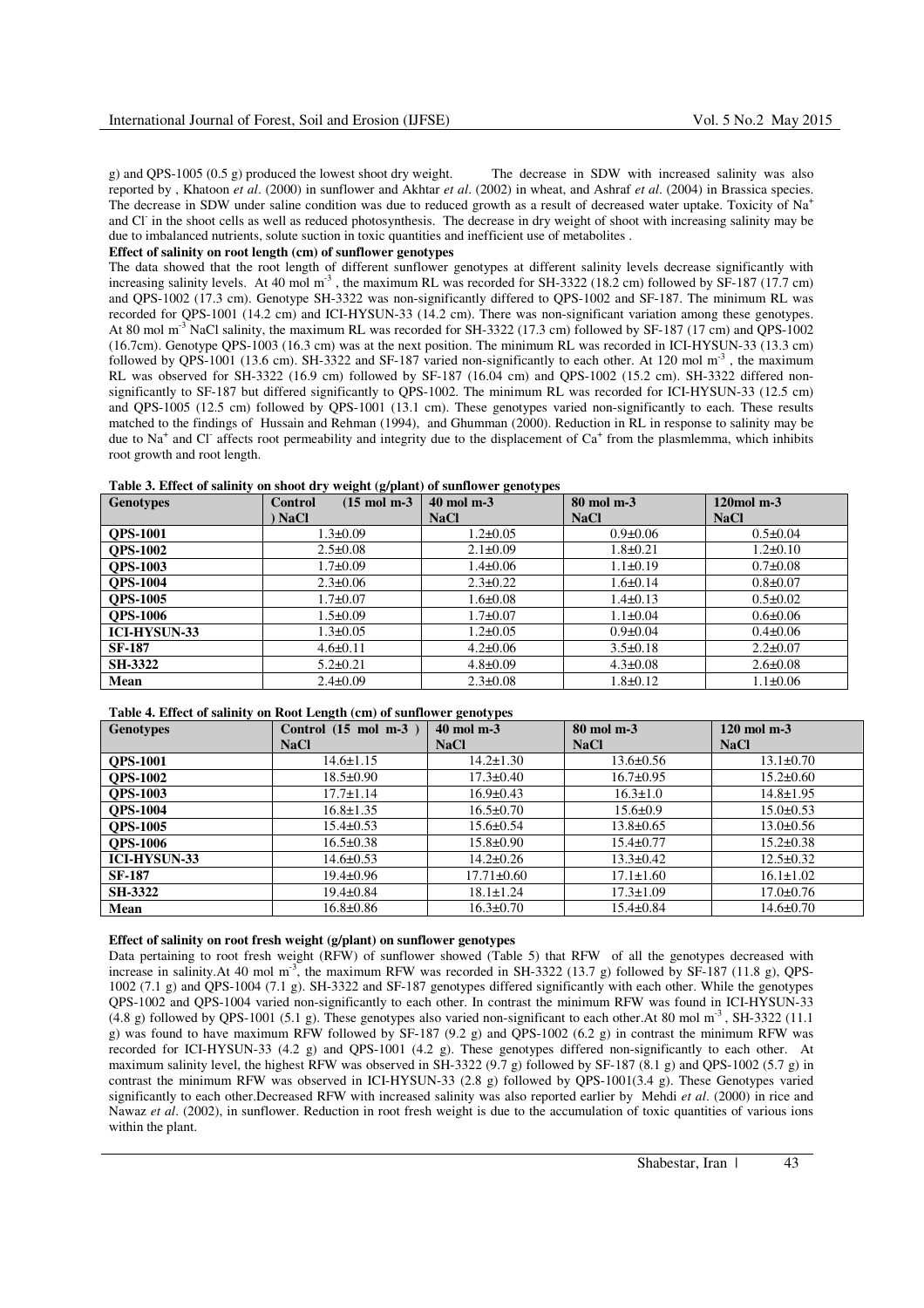g) and QPS-1005 (0.5 g) produced the lowest shoot dry weight. The decrease in SDW with increased salinity was also reported by , Khatoon *et al*. (2000) in sunflower and Akhtar *et al*. (2002) in wheat, and Ashraf *et al*. (2004) in Brassica species. The decrease in SDW under saline condition was due to reduced growth as a result of decreased water uptake. Toxicity of Na<sup>+</sup> and Cl<sup>-</sup> in the shoot cells as well as reduced photosynthesis. The decrease in dry weight of shoot with increasing salinity may be due to imbalanced nutrients, solute suction in toxic quantities and inefficient use of metabolites .

#### **Effect of salinity on root length (cm) of sunflower genotypes**

The data showed that the root length of different sunflower genotypes at different salinity levels decrease significantly with increasing salinity levels. At 40 mol  $m<sup>3</sup>$ , the maximum RL was recorded for SH-3322 (18.2 cm) followed by SF-187 (17.7 cm) and QPS-1002 (17.3 cm). Genotype SH-3322 was non-significantly differed to QPS-1002 and SF-187. The minimum RL was recorded for QPS-1001 (14.2 cm) and ICI-HYSUN-33 (14.2 cm). There was non-significant variation among these genotypes. At 80 mol m<sup>-3</sup> NaCl salinity, the maximum RL was recorded for SH-3322 (17.3 cm) followed by SF-187 (17 cm) and QPS-1002 (16.7cm). Genotype QPS-1003 (16.3 cm) was at the next position. The minimum RL was recorded in ICI-HYSUN-33 (13.3 cm) followed by QPS-1001 (13.6 cm). SH-3322 and SF-187 varied non-significantly to each other. At 120 mol  $m<sup>3</sup>$ , the maximum RL was observed for SH-3322 (16.9 cm) followed by SF-187 (16.04 cm) and QPS-1002 (15.2 cm). SH-3322 differed nonsignificantly to SF-187 but differed significantly to QPS-1002. The minimum RL was recorded for ICI-HYSUN-33 (12.5 cm) and QPS-1005 (12.5 cm) followed by QPS-1001 (13.1 cm). These genotypes varied non-significantly to each. These results matched to the findings of Hussain and Rehman (1994), and Ghumman (2000). Reduction in RL in response to salinity may be due to Na<sup>+</sup> and Cl<sup>-</sup> affects root permeability and integrity due to the displacement of Ca<sup>+</sup> from the plasmlemma, which inhibits root growth and root length.

|  | Table 3. Effect of salinity on shoot dry weight (g/plant) of sunflower genotypes |  |  |  |  |
|--|----------------------------------------------------------------------------------|--|--|--|--|
|--|----------------------------------------------------------------------------------|--|--|--|--|

| <b>Genotypes</b>    | $(15 \text{ mol m-3})$<br><b>Control</b> | 40 mol m-3     | 80 mol m-3     | $120$ mol m $-3$ |
|---------------------|------------------------------------------|----------------|----------------|------------------|
|                     | ) NaCl                                   | <b>NaCl</b>    | <b>NaCl</b>    | <b>NaCl</b>      |
| <b>OPS-1001</b>     | $1.3 \pm 0.09$                           | $1.2 \pm 0.05$ | $0.9 \pm 0.06$ | $0.5 \pm 0.04$   |
| <b>OPS-1002</b>     | $2.5 \pm 0.08$                           | $2.1 \pm 0.09$ | $1.8 \pm 0.21$ | $1.2 \pm 0.10$   |
| <b>OPS-1003</b>     | $1.7 \pm 0.09$                           | $1.4 \pm 0.06$ | $1.1 \pm 0.19$ | $0.7 \pm 0.08$   |
| <b>OPS-1004</b>     | $2.3 \pm 0.06$                           | $2.3 \pm 0.22$ | $1.6 \pm 0.14$ | $0.8 \pm 0.07$   |
| <b>OPS-1005</b>     | $1.7 \pm 0.07$                           | $1.6 \pm 0.08$ | $1.4 \pm 0.13$ | $0.5 \pm 0.02$   |
| <b>OPS-1006</b>     | $1.5 \pm 0.09$                           | $1.7 \pm 0.07$ | $1.1 \pm 0.04$ | $0.6 \pm 0.06$   |
| <b>ICI-HYSUN-33</b> | $1.3 \pm 0.05$                           | $1.2 \pm 0.05$ | $0.9 \pm 0.04$ | $0.4 \pm 0.06$   |
| <b>SF-187</b>       | $4.6 \pm 0.11$                           | $4.2 \pm 0.06$ | $3.5 \pm 0.18$ | $2.2 \pm 0.07$   |
| <b>SH-3322</b>      | $5.2 \pm 0.21$                           | $4.8 \pm 0.09$ | $4.3 \pm 0.08$ | $2.6 \pm 0.08$   |
| Mean                | $2.4 \pm 0.09$                           | $2.3 \pm 0.08$ | $1.8 \pm 0.12$ | $1.1 \pm 0.06$   |

#### **Table 4. Effect of salinity on Root Length (cm) of sunflower genotypes**

| <b>Genotypes</b>    | Control $(15 \text{ mol } m-3)$ | .<br>$40 \text{ mol m-3}$ | 80 mol m-3      | $120$ mol m-3   |
|---------------------|---------------------------------|---------------------------|-----------------|-----------------|
|                     | <b>NaCl</b>                     | <b>NaCl</b>               | <b>NaCl</b>     | <b>NaCl</b>     |
| <b>OPS-1001</b>     | $14.6 \pm 1.15$                 | $14.2 \pm 1.30$           | $13.6 \pm 0.56$ | $13.1 \pm 0.70$ |
| <b>OPS-1002</b>     | $18.5 \pm 0.90$                 | $17.3 \pm 0.40$           | $16.7 \pm 0.95$ | $15.2 \pm 0.60$ |
| <b>OPS-1003</b>     | $17.7 \pm 1.14$                 | $16.9 \pm 0.43$           | $16.3 \pm 1.0$  | $14.8 \pm 1.95$ |
| <b>OPS-1004</b>     | $16.8 \pm 1.35$                 | $16.5 \pm 0.70$           | $15.6 \pm 0.9$  | $15.0 \pm 0.53$ |
| <b>OPS-1005</b>     | $15.4 \pm 0.53$                 | $15.6 \pm 0.54$           | $13.8 \pm 0.65$ | $13.0 \pm 0.56$ |
| <b>OPS-1006</b>     | $16.5 \pm 0.38$                 | $15.8 \pm 0.90$           | $15.4 \pm 0.77$ | $15.2 \pm 0.38$ |
| <b>ICI-HYSUN-33</b> | 14.6±0.53                       | $14.2 \pm 0.26$           | $13.3 \pm 0.42$ | $12.5 \pm 0.32$ |
| <b>SF-187</b>       | $19.4 \pm 0.96$                 | $17.71 \pm 0.60$          | $17.1 \pm 1.60$ | $16.1 \pm 1.02$ |
| <b>SH-3322</b>      | $19.4 \pm 0.84$                 | $18.1 \pm 1.24$           | $17.3 \pm 1.09$ | $17.0 \pm 0.76$ |
| Mean                | $16.8 \pm 0.86$                 | $16.3 \pm 0.70$           | $15.4 \pm 0.84$ | $14.6 \pm 0.70$ |

### **Effect of salinity on root fresh weight (g/plant) on sunflower genotypes**

Data pertaining to root fresh weight (RFW) of sunflower showed (Table 5) that RFW of all the genotypes decreased with increase in salinity.At 40 mol m<sup>-3</sup>, the maximum RFW was recorded in SH-3322 (13.7 g) followed by SF-187 (11.8 g), QPS-1002 (7.1 g) and QPS-1004 (7.1 g). SH-3322 and SF-187 genotypes differed significantly with each other. While the genotypes QPS-1002 and QPS-1004 varied non-significantly to each other. In contrast the minimum RFW was found in ICI-HYSUN-33 (4.8 g) followed by QPS-1001 (5.1 g). These genotypes also varied non-significant to each other.At 80 mol  $m<sup>3</sup>$ , SH-3322 (11.1) g) was found to have maximum RFW followed by SF-187 (9.2 g) and QPS-1002 (6.2 g) in contrast the minimum RFW was recorded for ICI-HYSUN-33 (4.2 g) and QPS-1001 (4.2 g). These genotypes differed non-significantly to each other. At maximum salinity level, the highest RFW was observed in SH-3322 (9.7 g) followed by SF-187 (8.1 g) and QPS-1002 (5.7 g) in contrast the minimum RFW was observed in ICI-HYSUN-33 (2.8 g) followed by QPS-1001(3.4 g). These Genotypes varied significantly to each other.Decreased RFW with increased salinity was also reported earlier by Mehdi *et al*. (2000) in rice and Nawaz *et al.* (2002), in sunflower. Reduction in root fresh weight is due to the accumulation of toxic quantities of various ions within the plant.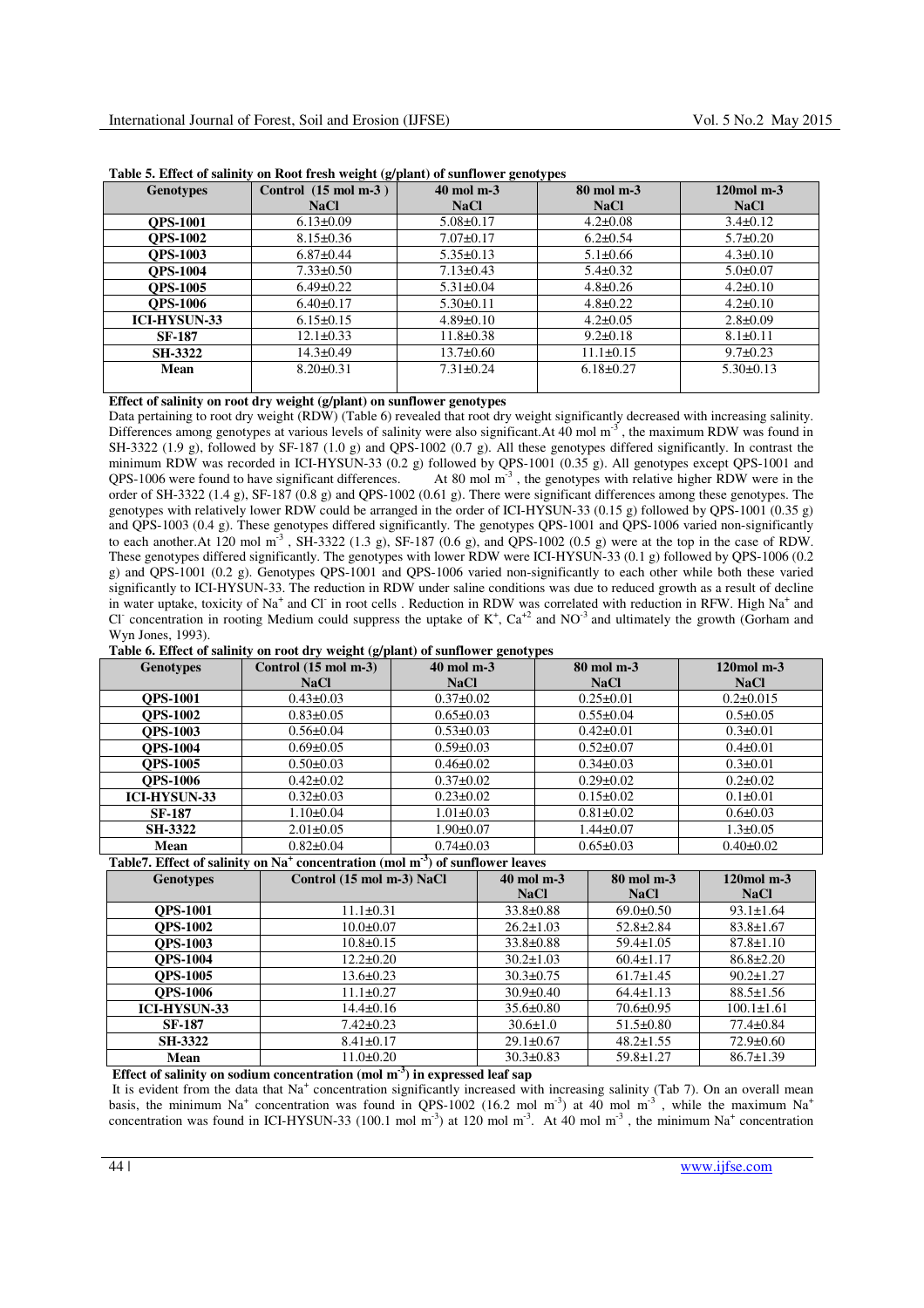| <b>Genotypes</b>    | Control $(15 \text{ mol m-3})$ | 40 mol m-3      | 80 mol m-3      |                |
|---------------------|--------------------------------|-----------------|-----------------|----------------|
|                     | <b>NaCl</b>                    | <b>NaCl</b>     | <b>NaCl</b>     | <b>NaCl</b>    |
| <b>OPS-1001</b>     | $6.13 \pm 0.09$                | $5.08 \pm 0.17$ | $4.2 \pm 0.08$  | $3.4\pm0.12$   |
| <b>OPS-1002</b>     | $8.15 \pm 0.36$                | $7.07 \pm 0.17$ | $6.2 \pm 0.54$  | $5.7 \pm 0.20$ |
| <b>OPS-1003</b>     | $6.87\pm0.44$                  | $5.35 \pm 0.13$ | $5.1 \pm 0.66$  | $4.3 \pm 0.10$ |
| <b>OPS-1004</b>     | $7.33 \pm 0.50$                | $7.13 \pm 0.43$ | $5.4\pm0.32$    | $5.0 \pm 0.07$ |
| <b>OPS-1005</b>     | $6.49\pm0.22$                  | $5.31 \pm 0.04$ | $4.8 \pm 0.26$  | $4.2\pm 0.10$  |
| <b>OPS-1006</b>     | $6.40\pm0.17$                  | $5.30\pm0.11$   | $4.8 \pm 0.22$  | $4.2\pm 0.10$  |
| <b>ICI-HYSUN-33</b> | $6.15 \pm 0.15$                | $4.89 \pm 0.10$ | $4.2 \pm 0.05$  | $2.8 \pm 0.09$ |
| <b>SF-187</b>       | $12.1 \pm 0.33$                | $11.8 \pm 0.38$ | $9.2 \pm 0.18$  | $8.1 \pm 0.11$ |
| <b>SH-3322</b>      | $14.3 \pm 0.49$                | $13.7 \pm 0.60$ | $11.1\pm0.15$   | $9.7 \pm 0.23$ |
| Mean                | $8.20 \pm 0.31$                | $7.31 \pm 0.24$ | $6.18 \pm 0.27$ | $5.30\pm0.13$  |
|                     |                                |                 |                 |                |

**Table 5. Effect of salinity on Root fresh weight (g/plant) of sunflower genotypes** 

# **Effect of salinity on root dry weight (g/plant) on sunflower genotypes**

Data pertaining to root dry weight (RDW) (Table 6) revealed that root dry weight significantly decreased with increasing salinity. Differences among genotypes at various levels of salinity were also significant.At  $40 \text{ mol m}^3$ , the maximum RDW was found in SH-3322 (1.9 g), followed by SF-187 (1.0 g) and QPS-1002 (0.7 g). All these genotypes differed significantly. In contrast the minimum RDW was recorded in ICI-HYSUN-33 (0.2 g) followed by QPS-1001 (0.35 g). All genotypes except QPS-1001 and QPS-1006 were found to have significant differences. At 80 mol  $m<sup>3</sup>$ , the genotypes with relative higher RDW were in the order of SH-3322 (1.4 g), SF-187 (0.8 g) and QPS-1002 (0.61 g). There were significant differences among these genotypes. The genotypes with relatively lower RDW could be arranged in the order of ICI-HYSUN-33 (0.15 g) followed by QPS-1001 (0.35 g) and QPS-1003 (0.4 g). These genotypes differed significantly. The genotypes QPS-1001 and QPS-1006 varied non-significantly to each another.At 120 mol  $m<sup>3</sup>$ , SH-3322 (1.3 g), SF-187 (0.6 g), and QPS-1002 (0.5 g) were at the top in the case of RDW. These genotypes differed significantly. The genotypes with lower RDW were ICI-HYSUN-33 (0.1 g) followed by QPS-1006 (0.2 g) and QPS-1001 (0.2 g). Genotypes QPS-1001 and QPS-1006 varied non-significantly to each other while both these varied significantly to ICI-HYSUN-33. The reduction in RDW under saline conditions was due to reduced growth as a result of decline in water uptake, toxicity of Na<sup>+</sup> and Cl in root cells . Reduction in RDW was correlated with reduction in RFW. High Na<sup>+</sup> and Cl<sup>-</sup> concentration in rooting Medium could suppress the uptake of  $K^+$ ,  $Ca^{+2}$  and NO<sup>-3</sup> and ultimately the growth (Gorham and Wyn Jones, 1993).

| Table 6. Effect of salinity on root dry weight (g/plant) of sunflower genotypes |  |  |
|---------------------------------------------------------------------------------|--|--|
|---------------------------------------------------------------------------------|--|--|

| <b>Genotypes</b>    | $\sigma$ $\sigma$ $\sigma$<br>Control $(15 \text{ mol m-3})$ | $\mathbf{C}$<br>ี⊌ ∎ั<br>$40 \text{ mol } m-3$ | 80 mol m-3      |                 |
|---------------------|--------------------------------------------------------------|------------------------------------------------|-----------------|-----------------|
|                     | <b>NaCl</b>                                                  | <b>NaCl</b>                                    | <b>NaCl</b>     | <b>NaCl</b>     |
| <b>OPS-1001</b>     | $0.43 \pm 0.03$                                              | $0.37 \pm 0.02$                                | $0.25 \pm 0.01$ | $0.2 \pm 0.015$ |
| <b>OPS-1002</b>     | $0.83 \pm 0.05$                                              | $0.65 \pm 0.03$                                | $0.55 \pm 0.04$ | $0.5 \pm 0.05$  |
| <b>OPS-1003</b>     | $0.56 \pm 0.04$                                              | $0.53 \pm 0.03$                                | $0.42 \pm 0.01$ | $0.3 \pm 0.01$  |
| <b>OPS-1004</b>     | $0.69 \pm 0.05$                                              | $0.59 \pm 0.03$                                | $0.52 \pm 0.07$ | $0.4 \pm 0.01$  |
| <b>OPS-1005</b>     | $0.50 \pm 0.03$                                              | $0.46 \pm 0.02$                                | $0.34\pm0.03$   | $0.3 \pm 0.01$  |
| <b>OPS-1006</b>     | $0.42 \pm 0.02$                                              | $0.37 \pm 0.02$                                | $0.29 \pm 0.02$ | $0.2 \pm 0.02$  |
| <b>ICI-HYSUN-33</b> | $0.32 \pm 0.03$                                              | $0.23 \pm 0.02$                                | $0.15 \pm 0.02$ | $0.1 \pm 0.01$  |
| <b>SF-187</b>       | $1.10\pm0.04$                                                | $1.01 \pm 0.03$                                | $0.81 \pm 0.02$ | $0.6 \pm 0.03$  |
| <b>SH-3322</b>      | $2.01 \pm 0.05$                                              | $1.90 \pm 0.07$                                | $1.44 \pm 0.07$ | $1.3 \pm 0.05$  |
| Mean                | $0.82 \pm 0.04$                                              | $0.74 \pm 0.03$                                | $0.65 \pm 0.03$ | $0.40 \pm 0.02$ |

## **Table7. Effect of salinity on Na<sup>+</sup> concentration (mol m-3) of sunflower leaves**

| <b>Genotypes</b>    | Control (15 mol m-3) NaCl | $40$ mol m-3    | 80 mol m-3      | $120$ mol m $-3$ |
|---------------------|---------------------------|-----------------|-----------------|------------------|
|                     |                           | <b>NaCl</b>     | <b>NaCl</b>     | <b>NaCl</b>      |
| <b>OPS-1001</b>     | $11.1 \pm 0.31$           | $33.8 \pm 0.88$ | $69.0 \pm 0.50$ | $93.1 \pm 1.64$  |
| <b>OPS-1002</b>     | $10.0 \pm 0.07$           | $26.2 \pm 1.03$ | $52.8 \pm 2.84$ | $83.8 \pm 1.67$  |
| <b>OPS-1003</b>     | $10.8 \pm 0.15$           | $33.8 \pm 0.88$ | $59.4 \pm 1.05$ | $87.8 \pm 1.10$  |
| <b>OPS-1004</b>     | $12.2 \pm 0.20$           | $30.2 \pm 1.03$ | $60.4 \pm 1.17$ | $86.8 \pm 2.20$  |
| <b>OPS-1005</b>     | $13.6 \pm 0.23$           | $30.3 \pm 0.75$ | $61.7 \pm 1.45$ | $90.2 \pm 1.27$  |
| <b>OPS-1006</b>     | $11.1 \pm 0.27$           | $30.9 \pm 0.40$ | $64.4 \pm 1.13$ | $88.5 \pm 1.56$  |
| <b>ICI-HYSUN-33</b> | $14.4 \pm 0.16$           | $35.6 \pm 0.80$ | $70.6 \pm 0.95$ | $100.1 \pm 1.61$ |
| <b>SF-187</b>       | $7.42 \pm 0.23$           | $30.6 \pm 1.0$  | $51.5 \pm 0.80$ | $77.4 \pm 0.84$  |
| <b>SH-3322</b>      | $8.41 \pm 0.17$           | $29.1 \pm 0.67$ | $48.2 \pm 1.55$ | $72.9 \pm 0.60$  |
| Mean                | $11.0 \pm 0.20$           | $30.3 \pm 0.83$ | $59.8 \pm 1.27$ | $86.7 \pm 1.39$  |

**Effect of salinity on sodium concentration (mol m-3) in expressed leaf sap** 

It is evident from the data that Na<sup>+</sup> concentration significantly increased with increasing salinity (Tab 7). On an overall mean basis, the minimum Na<sup>+</sup> concentration was found in QPS-1002 (16.2 mol m<sup>-3</sup>) at 40 mol m<sup>-3</sup>, while the maximum Na<sup>+</sup> concentration was found in ICI-HYSUN-33 (100.1 mol m<sup>-3</sup>) at 120 mol m<sup>-3</sup>. At 40 mol m<sup>-3</sup>, the minimum Na<sup>+</sup> concentration